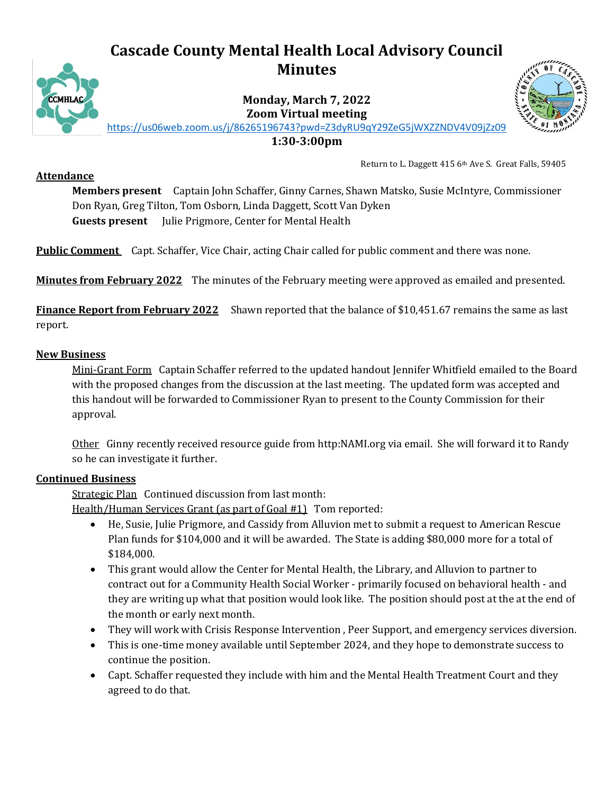# **Cascade County Mental Health Local Advisory Council Minutes**



**Monday, March 7, 2022 Zoom Virtual meeting**



<https://us06web.zoom.us/j/86265196743?pwd=Z3dyRU9qY29ZeG5jWXZZNDV4V09jZz09>

**1:30-3:00pm**

#### **Attendance**

Return to L. Daggett 415 6th Ave S. Great Falls, 59405

**Members present** Captain John Schaffer, Ginny Carnes, Shawn Matsko, Susie McIntyre, Commissioner Don Ryan, Greg Tilton, Tom Osborn, Linda Daggett, Scott Van Dyken **Guests present** Julie Prigmore, Center for Mental Health

**Public Comment** Capt. Schaffer, Vice Chair, acting Chair called for public comment and there was none.

**Minutes from February 2022** The minutes of the February meeting were approved as emailed and presented.

**Finance Report from February 2022** Shawn reported that the balance of \$10,451.67 remains the same as last report.

#### **New Business**

Mini-Grant Form Captain Schaffer referred to the updated handout Jennifer Whitfield emailed to the Board with the proposed changes from the discussion at the last meeting. The updated form was accepted and this handout will be forwarded to Commissioner Ryan to present to the County Commission for their approval.

Other Ginny recently received resource guide from http:NAMI.org via email. She will forward it to Randy so he can investigate it further.

## **Continued Business**

Strategic Plan Continued discussion from last month:

Health/Human Services Grant (as part of Goal #1) Tom reported:

- He, Susie, Julie Prigmore, and Cassidy from Alluvion met to submit a request to American Rescue Plan funds for \$104,000 and it will be awarded. The State is adding \$80,000 more for a total of \$184,000.
- This grant would allow the Center for Mental Health, the Library, and Alluvion to partner to contract out for a Community Health Social Worker - primarily focused on behavioral health - and they are writing up what that position would look like. The position should post at the at the end of the month or early next month.
- They will work with Crisis Response Intervention , Peer Support, and emergency services diversion.
- This is one-time money available until September 2024, and they hope to demonstrate success to continue the position.
- Capt. Schaffer requested they include with him and the Mental Health Treatment Court and they agreed to do that.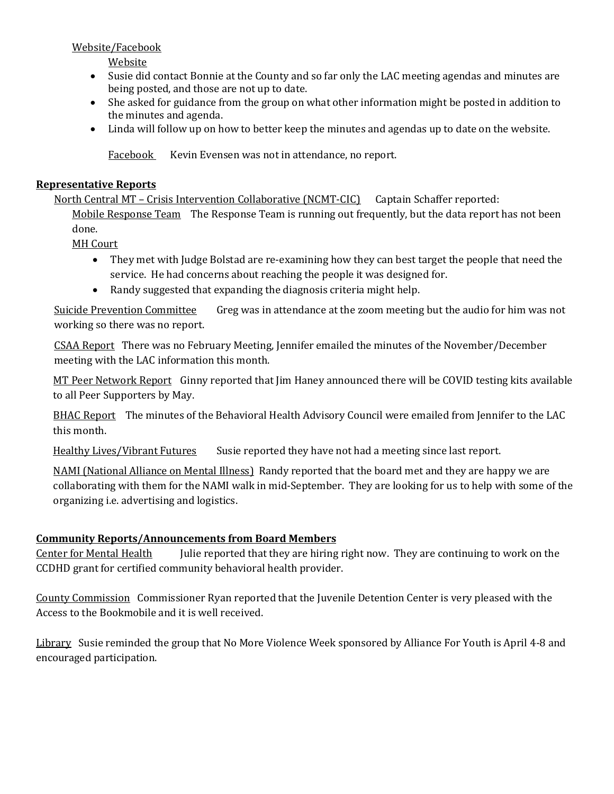Website/Facebook

Website

- Susie did contact Bonnie at the County and so far only the LAC meeting agendas and minutes are being posted, and those are not up to date.
- She asked for guidance from the group on what other information might be posted in addition to the minutes and agenda.
- Linda will follow up on how to better keep the minutes and agendas up to date on the website.

Facebook Kevin Evensen was not in attendance, no report.

### **Representative Reports**

North Central MT – Crisis Intervention Collaborative (NCMT-CIC) Captain Schaffer reported: Mobile Response Team The Response Team is running out frequently, but the data report has not been done.

MH Court

- They met with Judge Bolstad are re-examining how they can best target the people that need the service. He had concerns about reaching the people it was designed for.
- Randy suggested that expanding the diagnosis criteria might help.

Suicide Prevention Committee Greg was in attendance at the zoom meeting but the audio for him was not working so there was no report.

CSAA Report There was no February Meeting, Jennifer emailed the minutes of the November/December meeting with the LAC information this month.

MT Peer Network Report Ginny reported that Jim Haney announced there will be COVID testing kits available to all Peer Supporters by May.

BHAC Report The minutes of the Behavioral Health Advisory Council were emailed from Jennifer to the LAC this month.

Healthy Lives/Vibrant Futures Susie reported they have not had a meeting since last report.

NAMI (National Alliance on Mental Illness) Randy reported that the board met and they are happy we are collaborating with them for the NAMI walk in mid-September. They are looking for us to help with some of the organizing i.e. advertising and logistics.

## **Community Reports/Announcements from Board Members**

Center for Mental Health Julie reported that they are hiring right now. They are continuing to work on the CCDHD grant for certified community behavioral health provider.

County Commission Commissioner Ryan reported that the Juvenile Detention Center is very pleased with the Access to the Bookmobile and it is well received.

Library Susie reminded the group that No More Violence Week sponsored by Alliance For Youth is April 4-8 and encouraged participation.